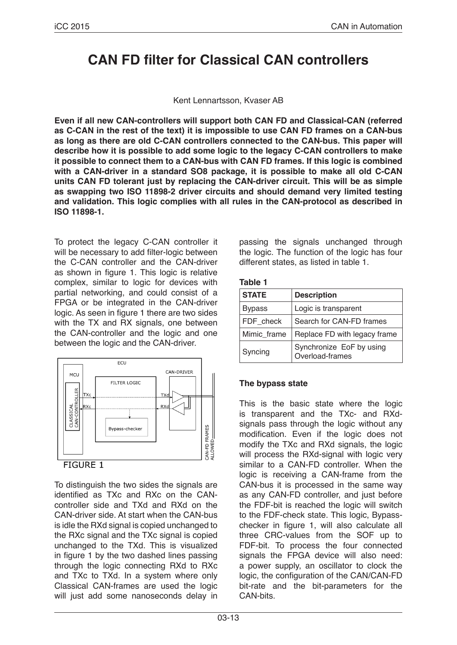# **CAN FD filter for Classical CAN controllers**

#### Kent Lennartsson, Kvaser AB

**Even if all new CAN-controllers will support both CAN FD and Classical-CAN (referred as C-CAN in the rest of the text) it is impossible to use CAN FD frames on a CAN-bus as long as there are old C-CAN controllers connected to the CAN-bus. This paper will describe how it is possible to add some logic to the legacy C-CAN controllers to make it possible to connect them to a CAN-bus with CAN FD frames. If this logic is combined with a CAN-driver in a standard SO8 package, it is possible to make all old C-CAN units CAN FD tolerant just by replacing the CAN-driver circuit. This will be as simple as swapping two ISO 11898-2 driver circuits and should demand very limited testing and validation. This logic complies with all rules in the CAN-protocol as described in ISO 11898-1.**

To protect the legacy C-CAN controller it will be necessary to add filter-logic between the C-CAN controller and the CAN-driver as shown in figure 1. This logic is relative complex, similar to logic for devices with partial networking, and could consist of a FPGA or be integrated in the CAN-driver logic. As seen in figure 1 there are two sides with the TX and RX signals, one between the CAN-controller and the logic and one between the logic and the CAN-driver.



To distinguish the two sides the signals are identified as TXc and RXc on the CANcontroller side and TXd and RXd on the CAN-driver side. At start when the CAN-bus is idle the RXd signal is copied unchanged to the RXc signal and the TXc signal is copied unchanged to the TXd. This is visualized in figure 1 by the two dashed lines passing through the logic connecting RXd to RXc and TXc to TXd. In a system where only Classical CAN-frames are used the logic will just add some nanoseconds delay in passing the signals unchanged through the logic. The function of the logic has four different states, as listed in table 1.

**Table 1**

| <b>STATE</b>  | <b>Description</b>                          |
|---------------|---------------------------------------------|
| <b>Bypass</b> | Logic is transparent                        |
| FDF check     | Search for CAN-FD frames                    |
| Mimic frame   | Replace FD with legacy frame                |
| Syncing       | Synchronize EoF by using<br>Overload-frames |

## **The bypass state**

This is the basic state where the logic is transparent and the TXc- and RXdsignals pass through the logic without any modification. Even if the logic does not modify the TXc and RXd signals, the logic will process the RXd-signal with logic very similar to a CAN-FD controller. When the logic is receiving a CAN-frame from the CAN-bus it is processed in the same way as any CAN-FD controller, and just before the FDF-bit is reached the logic will switch to the FDF-check state. This logic, Bypasschecker in figure 1, will also calculate all three CRC-values from the SOF up to FDF-bit. To process the four connected signals the FPGA device will also need: a power supply, an oscillator to clock the logic, the configuration of the CAN/CAN-FD bit-rate and the bit-parameters for the CAN-bits.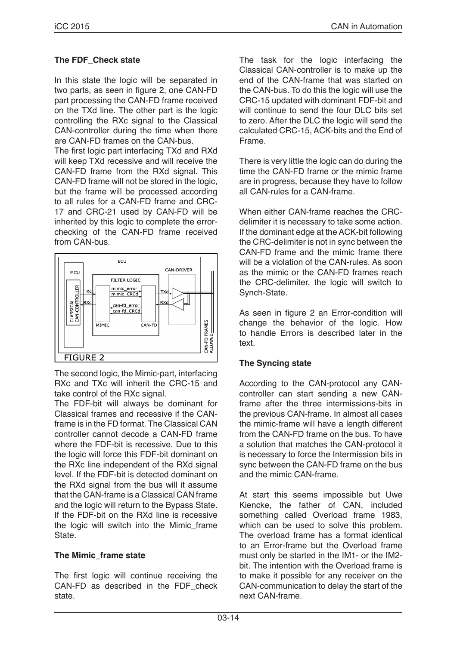## **The FDF\_Check state**

In this state the logic will be separated in two parts, as seen in figure 2, one CAN-FD part processing the CAN-FD frame received on the TXd line. The other part is the logic controlling the RXc signal to the Classical CAN-controller during the time when there are CAN-FD frames on the CAN-bus.

The first logic part interfacing TXd and RXd will keep TXd recessive and will receive the CAN-FD frame from the RXd signal. This CAN-FD frame will not be stored in the logic, but the frame will be processed according to all rules for a CAN-FD frame and CRC-17 and CRC-21 used by CAN-FD will be inherited by this logic to complete the errorchecking of the CAN-FD frame received from CAN-bus.



The second logic, the Mimic-part, interfacing RXc and TXc will inherit the CRC-15 and take control of the RXc signal.

The FDF-bit will always be dominant for Classical frames and recessive if the CANframe is in the FD format. The Classical CAN controller cannot decode a CAN-FD frame where the FDF-bit is recessive. Due to this the logic will force this FDF-bit dominant on the RXc line independent of the RXd signal level. If the FDF-bit is detected dominant on the RXd signal from the bus will it assume that the CAN-frame is a Classical CAN frame and the logic will return to the Bypass State. If the FDF-bit on the RXd line is recessive the logic will switch into the Mimic frame State.

## **The Mimic\_frame state**

The first logic will continue receiving the CAN-FD as described in the FDF\_check state.

The task for the logic interfacing the Classical CAN-controller is to make up the end of the CAN-frame that was started on the CAN-bus. To do this the logic will use the CRC-15 updated with dominant FDF-bit and will continue to send the four DLC bits set to zero. After the DLC the logic will send the calculated CRC-15, ACK-bits and the End of Frame.

There is very little the logic can do during the time the CAN-FD frame or the mimic frame are in progress, because they have to follow all CAN-rules for a CAN-frame.

When either CAN-frame reaches the CRCdelimiter it is necessary to take some action. If the dominant edge at the ACK-bit following the CRC-delimiter is not in sync between the CAN-FD frame and the mimic frame there will be a violation of the CAN-rules. As soon as the mimic or the CAN-FD frames reach the CRC-delimiter, the logic will switch to Synch-State.

As seen in figure 2 an Error-condition will change the behavior of the logic. How to handle Errors is described later in the text.

## **The Syncing state**

According to the CAN-protocol any CANcontroller can start sending a new CANframe after the three intermissions-bits in the previous CAN-frame. In almost all cases the mimic-frame will have a length different from the CAN-FD frame on the bus. To have a solution that matches the CAN-protocol it is necessary to force the Intermission bits in sync between the CAN-FD frame on the bus and the mimic CAN-frame.

At start this seems impossible but Uwe Kiencke, the father of CAN, included something called Overload frame 1983, which can be used to solve this problem. The overload frame has a format identical to an Error-frame but the Overload frame must only be started in the IM1- or the IM2 bit. The intention with the Overload frame is to make it possible for any receiver on the CAN-communication to delay the start of the next CAN-frame.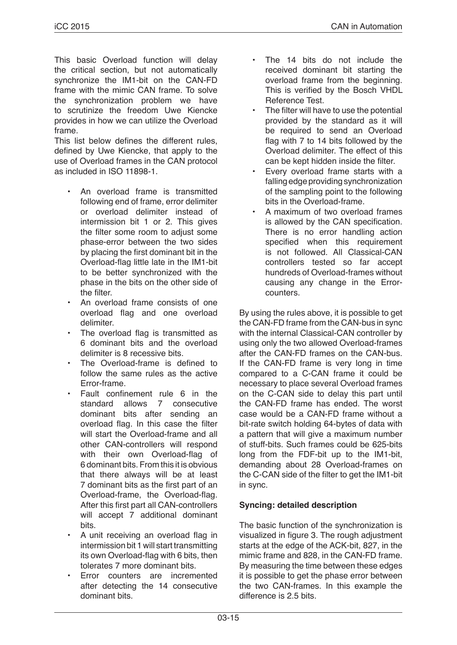This basic Overload function will delay the critical section, but not automatically synchronize the IM1-bit on the CAN-FD frame with the mimic CAN frame. To solve the synchronization problem we have to scrutinize the freedom Uwe Kiencke provides in how we can utilize the Overload frame.

This list below defines the different rules, defined by Uwe Kiencke, that apply to the use of Overload frames in the CAN protocol as included in ISO 11898-1.

- An overload frame is transmitted following end of frame, error delimiter or overload delimiter instead of intermission bit 1 or 2. This gives the filter some room to adjust some phase-error between the two sides by placing the first dominant bit in the Overload-flag little late in the IM1-bit to be better synchronized with the phase in the bits on the other side of the filter.
- An overload frame consists of one overload flag and one overload delimiter.
- The overload flag is transmitted as 6 dominant bits and the overload delimiter is 8 recessive bits.
- The Overload-frame is defined to follow the same rules as the active Error-frame.
- Fault confinement rule 6 in the standard allows 7 consecutive dominant bits after sending an overload flag. In this case the filter will start the Overload-frame and all other CAN-controllers will respond with their own Overload-flag of 6 dominant bits. From this it is obvious that there always will be at least 7 dominant bits as the first part of an Overload-frame, the Overload-flag. After this first part all CAN-controllers will accept 7 additional dominant bits.
- A unit receiving an overload flag in intermission bit 1 will start transmitting its own Overload-flag with 6 bits, then tolerates 7 more dominant bits.
- Error counters are incremented after detecting the 14 consecutive dominant bits.
- The 14 bits do not include the received dominant bit starting the overload frame from the beginning. This is verified by the Bosch VHDL Reference Test.
- The filter will have to use the potential provided by the standard as it will be required to send an Overload flag with 7 to 14 bits followed by the Overload delimiter. The effect of this can be kept hidden inside the filter.
- Every overload frame starts with a falling edge providing synchronization of the sampling point to the following bits in the Overload-frame.
- A maximum of two overload frames is allowed by the CAN specification. There is no error handling action specified when this requirement is not followed. All Classical-CAN controllers tested so far accept hundreds of Overload-frames without causing any change in the Errorcounters.

By using the rules above, it is possible to get the CAN-FD frame from the CAN-bus in sync with the internal Classical-CAN controller by using only the two allowed Overload-frames after the CAN-FD frames on the CAN-bus. If the CAN-FD frame is very long in time compared to a C-CAN frame it could be necessary to place several Overload frames on the C-CAN side to delay this part until the CAN-FD frame has ended. The worst case would be a CAN-FD frame without a bit-rate switch holding 64-bytes of data with a pattern that will give a maximum number of stuff-bits. Such frames could be 625-bits long from the FDF-bit up to the IM1-bit, demanding about 28 Overload-frames on the C-CAN side of the filter to get the IM1-bit in sync.

## **Syncing: detailed description**

The basic function of the synchronization is visualized in figure 3. The rough adjustment starts at the edge of the ACK-bit, 827, in the mimic frame and 828, in the CAN-FD frame. By measuring the time between these edges it is possible to get the phase error between the two CAN-frames. In this example the difference is 2.5 bits.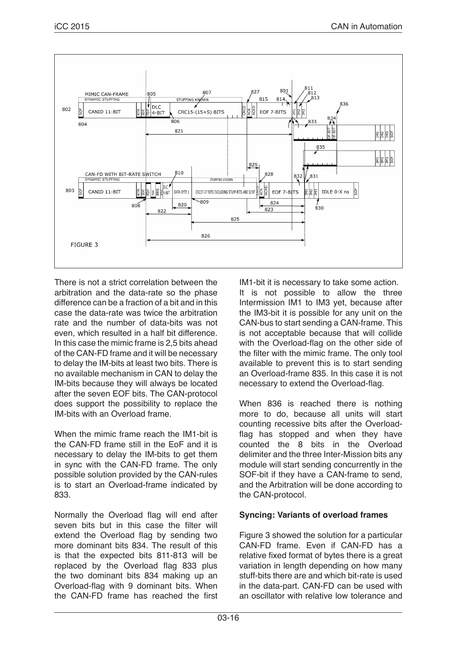

There is not a strict correlation between the arbitration and the data-rate so the phase difference can be a fraction of a bit and in this case the data-rate was twice the arbitration rate and the number of data-bits was not even, which resulted in a half bit difference. In this case the mimic frame is 2,5 bits ahead of the CAN-FD frame and it will be necessary to delay the IM-bits at least two bits. There is no available mechanism in CAN to delay the IM-bits because they will always be located after the seven EOF bits. The CAN-protocol does support the possibility to replace the IM-bits with an Overload frame.

When the mimic frame reach the IM1-bit is the CAN-FD frame still in the EoF and it is necessary to delay the IM-bits to get them in sync with the CAN-FD frame. The only possible solution provided by the CAN-rules is to start an Overload-frame indicated by 833.

Normally the Overload flag will end after seven bits but in this case the filter will extend the Overload flag by sending two more dominant bits 834. The result of this is that the expected bits 811-813 will be replaced by the Overload flag 833 plus the two dominant bits 834 making up an Overload-flag with 9 dominant bits. When the CAN-FD frame has reached the first IM1-bit it is necessary to take some action. It is not possible to allow the three Intermission IM1 to IM3 yet, because after the IM3-bit it is possible for any unit on the CAN-bus to start sending a CAN-frame. This is not acceptable because that will collide with the Overload-flag on the other side of the filter with the mimic frame. The only tool available to prevent this is to start sending an Overload-frame 835. In this case it is not necessary to extend the Overload-flag.

When 836 is reached there is nothing more to do, because all units will start counting recessive bits after the Overloadflag has stopped and when they have counted the 8 bits in the Overload delimiter and the three Inter-Mission bits any module will start sending concurrently in the SOF-bit if they have a CAN-frame to send, and the Arbitration will be done according to the CAN-protocol.

## **Syncing: Variants of overload frames**

Figure 3 showed the solution for a particular CAN-FD frame. Even if CAN-FD has a relative fixed format of bytes there is a great variation in length depending on how many stuff-bits there are and which bit-rate is used in the data-part. CAN-FD can be used with an oscillator with relative low tolerance and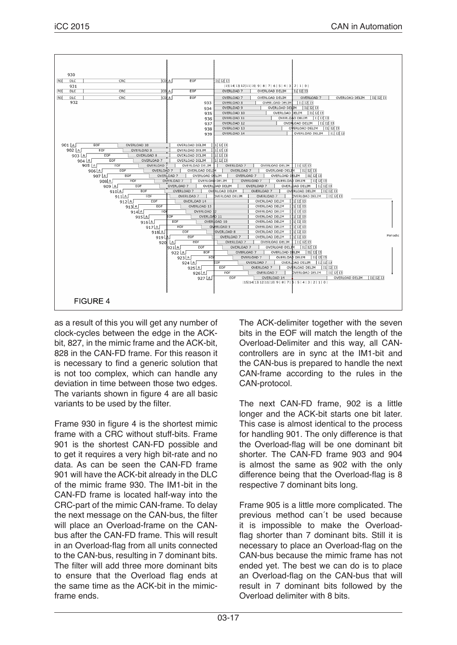

as a result of this you will get any number of clock-cycles between the edge in the ACKbit, 827, in the mimic frame and the ACK-bit, 828 in the CAN-FD frame. For this reason it is necessary to find a generic solution that is not too complex, which can handle any deviation in time between those two edges. The variants shown in figure 4 are all basic variants to be used by the filter.

Frame 930 in figure 4 is the shortest mimic frame with a CRC without stuff-bits. Frame 901 is the shortest CAN-FD possible and to get it requires a very high bit-rate and no data. As can be seen the CAN-FD frame 901 will have the ACK-bit already in the DLC of the mimic frame 930. The IM1-bit in the CAN-FD frame is located half-way into the CRC-part of the mimic CAN-frame. To delay the next message on the CAN-bus, the filter will place an Overload-frame on the CANbus after the CAN-FD frame. This will result in an Overload-flag from all units connected to the CAN-bus, resulting in 7 dominant bits. The filter will add three more dominant bits to ensure that the Overload flag ends at the same time as the ACK-bit in the mimicframe ends.

The ACK-delimiter together with the seven bits in the EOF will match the length of the Overload-Delimiter and this way, all CANcontrollers are in sync at the IM1-bit and the CAN-bus is prepared to handle the next CAN-frame according to the rules in the CAN-protocol.

The next CAN-FD frame, 902 is a little longer and the ACK-bit starts one bit later. This case is almost identical to the process for handling 901. The only difference is that the Overload-flag will be one dominant bit shorter. The CAN-FD frame 903 and 904 is almost the same as 902 with the only difference being that the Overload-flag is 8 respective 7 dominant bits long.

Frame 905 is a little more complicated. The previous method can´t be used because it is impossible to make the Overloadflag shorter than 7 dominant bits. Still it is necessary to place an Overload-flag on the CAN-bus because the mimic frame has not ended yet. The best we can do is to place an Overload-flag on the CAN-bus that will result in 7 dominant bits followed by the Overload delimiter with 8 bits.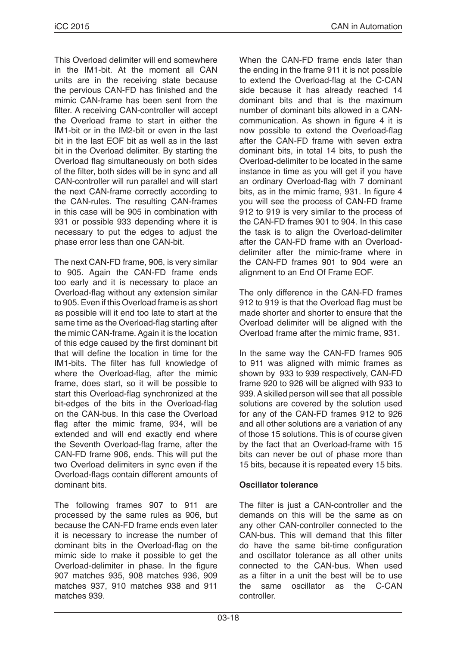This Overload delimiter will end somewhere in the IM1-bit. At the moment all CAN units are in the receiving state because the pervious CAN-FD has finished and the mimic CAN-frame has been sent from the filter. A receiving CAN-controller will accept the Overload frame to start in either the IM1-bit or in the IM2-bit or even in the last bit in the last EOF bit as well as in the last bit in the Overload delimiter. By starting the Overload flag simultaneously on both sides of the filter, both sides will be in sync and all CAN-controller will run parallel and will start the next CAN-frame correctly according to the CAN-rules. The resulting CAN-frames in this case will be 905 in combination with 931 or possible 933 depending where it is necessary to put the edges to adjust the phase error less than one CAN-bit.

The next CAN-FD frame, 906, is very similar to 905. Again the CAN-FD frame ends too early and it is necessary to place an Overload-flag without any extension similar to 905. Even if this Overload frame is as short as possible will it end too late to start at the same time as the Overload-flag starting after the mimic CAN-frame. Again it is the location of this edge caused by the first dominant bit that will define the location in time for the IM1-bits. The filter has full knowledge of where the Overload-flag, after the mimic frame, does start, so it will be possible to start this Overload-flag synchronized at the bit-edges of the bits in the Overload-flag on the CAN-bus. In this case the Overload flag after the mimic frame, 934, will be extended and will end exactly end where the Seventh Overload-flag frame, after the CAN-FD frame 906, ends. This will put the two Overload delimiters in sync even if the Overload-flags contain different amounts of dominant bits.

The following frames 907 to 911 are processed by the same rules as 906, but because the CAN-FD frame ends even later it is necessary to increase the number of dominant bits in the Overload-flag on the mimic side to make it possible to get the Overload-delimiter in phase. In the figure 907 matches 935, 908 matches 936, 909 matches 937, 910 matches 938 and 911 matches 939.

When the CAN-FD frame ends later than the ending in the frame 911 it is not possible to extend the Overload-flag at the C-CAN side because it has already reached 14 dominant bits and that is the maximum number of dominant bits allowed in a CANcommunication. As shown in figure 4 it is now possible to extend the Overload-flag after the CAN-FD frame with seven extra dominant bits, in total 14 bits, to push the Overload-delimiter to be located in the same instance in time as you will get if you have an ordinary Overload-flag with 7 dominant bits, as in the mimic frame, 931. In figure 4 you will see the process of CAN-FD frame 912 to 919 is very similar to the process of the CAN-FD frames 901 to 904. In this case the task is to align the Overload-delimiter after the CAN-FD frame with an Overloaddelimiter after the mimic-frame where in the CAN-FD frames 901 to 904 were an alignment to an End Of Frame EOF.

The only difference in the CAN-FD frames 912 to 919 is that the Overload flag must be made shorter and shorter to ensure that the Overload delimiter will be aligned with the Overload frame after the mimic frame, 931.

In the same way the CAN-FD frames 905 to 911 was aligned with mimic frames as shown by 933 to 939 respectively, CAN-FD frame 920 to 926 will be aligned with 933 to 939. A skilled person will see that all possible solutions are covered by the solution used for any of the CAN-FD frames 912 to 926 and all other solutions are a variation of any of those 15 solutions. This is of course given by the fact that an Overload-frame with 15 bits can never be out of phase more than 15 bits, because it is repeated every 15 bits.

## **Oscillator tolerance**

The filter is just a CAN-controller and the demands on this will be the same as on any other CAN-controller connected to the CAN-bus. This will demand that this filter do have the same bit-time configuration and oscillator tolerance as all other units connected to the CAN-bus. When used as a filter in a unit the best will be to use the same oscillator as the C-CAN controller.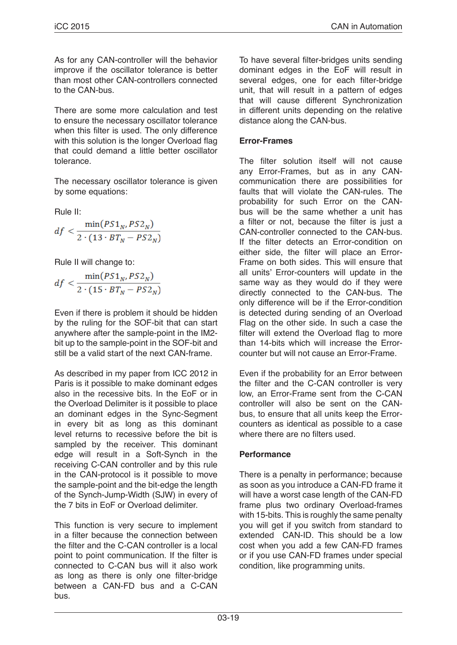As for any CAN-controller will the behavior improve if the oscillator tolerance is better than most other CAN-controllers connected to the CAN-bus.

There are some more calculation and test to ensure the necessary oscillator tolerance when this filter is used. The only difference with this solution is the longer Overload flag that could demand a little better oscillator tolerance.

The necessary oscillator tolerance is given by some equations:

Rule II:

$$
df < \frac{\min(PS1_N, PS2_N)}{2 \cdot (13 \cdot BT_N - PS2_N)}
$$

Rule II will change to:

$$
df < \frac{\min(PS1_N, PS2_N)}{2 \cdot (15 \cdot BT_N - PS2_N)}
$$

Even if there is problem it should be hidden by the ruling for the SOF-bit that can start anywhere after the sample-point in the IM2 bit up to the sample-point in the SOF-bit and still be a valid start of the next CAN-frame.

As described in my paper from ICC 2012 in Paris is it possible to make dominant edges also in the recessive bits. In the EoF or in the Overload Delimiter is it possible to place an dominant edges in the Sync-Segment in every bit as long as this dominant level returns to recessive before the bit is sampled by the receiver. This dominant edge will result in a Soft-Synch in the receiving C-CAN controller and by this rule in the CAN-protocol is it possible to move the sample-point and the bit-edge the length of the Synch-Jump-Width (SJW) in every of the 7 bits in EoF or Overload delimiter.

This function is very secure to implement in a filter because the connection between the filter and the C-CAN controller is a local point to point communication. If the filter is connected to C-CAN bus will it also work as long as there is only one filter-bridge between a CAN-FD bus and a C-CAN bus.

To have several filter-bridges units sending dominant edges in the EoF will result in several edges, one for each filter-bridge unit, that will result in a pattern of edges that will cause different Synchronization in different units depending on the relative distance along the CAN-bus.

## **Error-Frames**

The filter solution itself will not cause any Error-Frames, but as in any CANcommunication there are possibilities for faults that will violate the CAN-rules. The probability for such Error on the CANbus will be the same whether a unit has a filter or not, because the filter is just a CAN-controller connected to the CAN-bus. If the filter detects an Error-condition on either side, the filter will place an Error-Frame on both sides. This will ensure that all units' Error-counters will update in the same way as they would do if they were directly connected to the CAN-bus. The only difference will be if the Error-condition is detected during sending of an Overload Flag on the other side. In such a case the filter will extend the Overload flag to more than 14-bits which will increase the Errorcounter but will not cause an Error-Frame.

Even if the probability for an Error between the filter and the C-CAN controller is very low, an Error-Frame sent from the C-CAN controller will also be sent on the CANbus, to ensure that all units keep the Errorcounters as identical as possible to a case where there are no filters used.

## **Performance**

There is a penalty in performance; because as soon as you introduce a CAN-FD frame it will have a worst case length of the CAN-FD frame plus two ordinary Overload-frames with 15-bits. This is roughly the same penalty you will get if you switch from standard to extended CAN-ID. This should be a low cost when you add a few CAN-FD frames or if you use CAN-FD frames under special condition, like programming units.